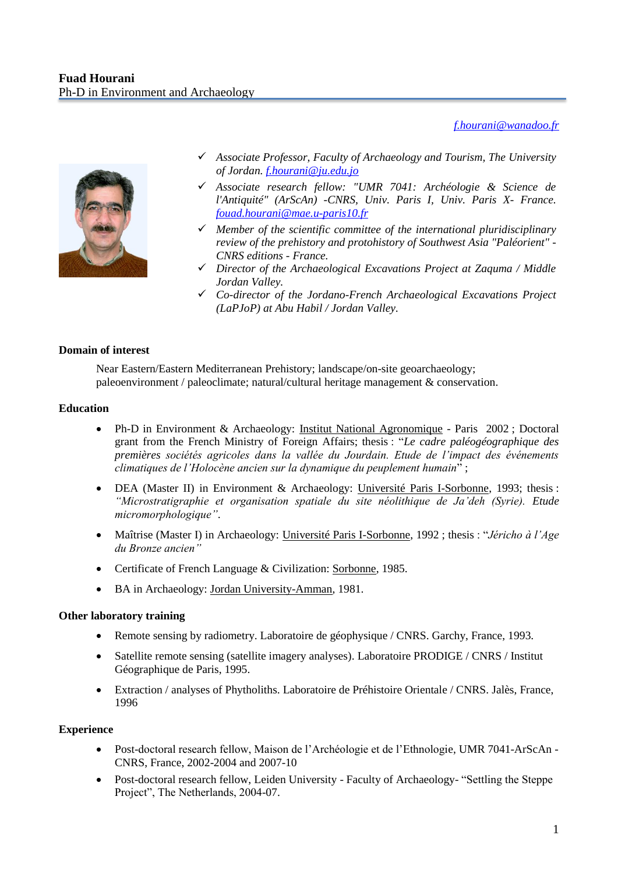*[f.hourani@wanadoo.fr](mailto:f.hourani@wanadoo.fr)*



- *Associate Professor, Faculty of Archaeology and Tourism, The University of Jordan. [f.hourani@ju.edu.jo](mailto:f.hourani@ju.edu.jo)*
- *Associate research fellow: "UMR 7041: Archéologie & Science de l'Antiquité" (ArScAn) -CNRS, Univ. Paris I, Univ. Paris X- France. [fouad.hourani@mae.u-paris10.fr](mailto:fouad.hourani@mae.u-paris10.fr)*
- *Member of the scientific committee of the international pluridisciplinary review of the prehistory and protohistory of Southwest Asia "Paléorient" - CNRS editions - France.*
- *Director of the Archaeological Excavations Project at Zaquma / Middle Jordan Valley.*
- *Co-director of the Jordano-French Archaeological Excavations Project (LaPJoP) at Abu Habil / Jordan Valley.*

## **Domain of interest**

Near Eastern/Eastern Mediterranean Prehistory; landscape/on-site geoarchaeology; paleoenvironment / paleoclimate; natural/cultural heritage management & conservation.

### **Education**

- Ph-D in Environment & Archaeology: Institut National Agronomique Paris 2002 ; Doctoral grant from the French Ministry of Foreign Affairs; thesis : "*Le cadre paléogéographique des premières sociétés agricoles dans la vallée du Jourdain. Etude de l'impact des événements climatiques de l'Holocène ancien sur la dynamique du peuplement humain*" ;
- DEA (Master II) in Environment & Archaeology: Université Paris I-Sorbonne, 1993; thesis : *"Microstratigraphie et organisation spatiale du site néolithique de Ja'deh (Syrie). Etude micromorphologique"*.
- Maîtrise (Master I) in Archaeology: Université Paris I-Sorbonne, 1992 ; thesis : "*Jéricho à l'Age du Bronze ancien"*
- Certificate of French Language & Civilization: Sorbonne, 1985.
- BA in Archaeology: Jordan University-Amman, 1981.

### **Other laboratory training**

- Remote sensing by radiometry. Laboratoire de géophysique / CNRS. Garchy, France, 1993.
- Satellite remote sensing (satellite imagery analyses). Laboratoire PRODIGE / CNRS / Institut Géographique de Paris, 1995.
- Extraction / analyses of Phytholiths. Laboratoire de Préhistoire Orientale / CNRS. Jalès, France, 1996

### **Experience**

- Post-doctoral research fellow, Maison de l'Archéologie et de l'Ethnologie, UMR 7041-ArScAn CNRS, France, 2002-2004 and 2007-10
- Post-doctoral research fellow, Leiden University Faculty of Archaeology- "Settling the Steppe Project", The Netherlands, 2004-07.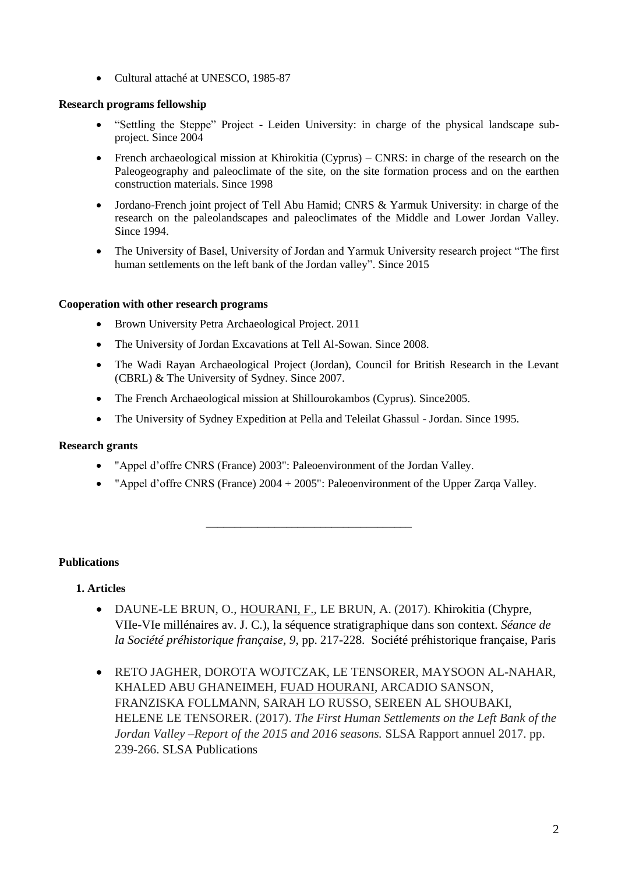• Cultural attaché at UNESCO, 1985-87

## **Research programs fellowship**

- "Settling the Steppe" Project Leiden University: in charge of the physical landscape subproject. Since 2004
- French archaeological mission at Khirokitia (Cyprus) CNRS: in charge of the research on the Paleogeography and paleoclimate of the site, on the site formation process and on the earthen construction materials. Since 1998
- Jordano-French joint project of Tell Abu Hamid; CNRS & Yarmuk University: in charge of the research on the paleolandscapes and paleoclimates of the Middle and Lower Jordan Valley. Since 1994.
- The University of Basel, University of Jordan and Yarmuk University research project "The first human settlements on the left bank of the Jordan valley". Since 2015

# **Cooperation with other research programs**

- Brown University Petra Archaeological Project. 2011
- The University of Jordan Excavations at Tell Al-Sowan. Since 2008.
- The Wadi Rayan Archaeological Project (Jordan), Council for British Research in the Levant (CBRL) & The University of Sydney. Since 2007.
- The French Archaeological mission at Shillourokambos (Cyprus). Since2005.
- The University of Sydney Expedition at Pella and Teleilat Ghassul Jordan. Since 1995.

# **Research grants**

- "Appel d'offre CNRS (France) 2003": Paleoenvironment of the Jordan Valley.
- "Appel d'offre CNRS (France) 2004 + 2005": Paleoenvironment of the Upper Zarqa Valley.

\_\_\_\_\_\_\_\_\_\_\_\_\_\_\_\_\_\_\_\_\_\_\_\_\_\_\_\_\_\_\_\_\_\_\_\_

# **Publications**

# **1. Articles**

- DAUNE-LE BRUN, O., HOURANI, F., LE BRUN, A. (2017). Khirokitia (Chypre, VIIe-VIe millénaires av. J. C.), la séquence stratigraphique dans son context. *Séance de la Société préhistorique française, 9*, pp. 217-228. Société préhistorique française, Paris
- RETO JAGHER, DOROTA WOJTCZAK, LE TENSORER, MAYSOON AL-NAHAR, KHALED ABU GHANEIMEH, FUAD HOURANI, ARCADIO SANSON, FRANZISKA FOLLMANN, SARAH LO RUSSO, SEREEN AL SHOUBAKI, HELENE LE TENSORER. (2017). *The First Human Settlements on the Left Bank of the Jordan Valley –Report of the 2015 and 2016 seasons.* SLSA Rapport annuel 2017. pp. 239-266. SLSA Publications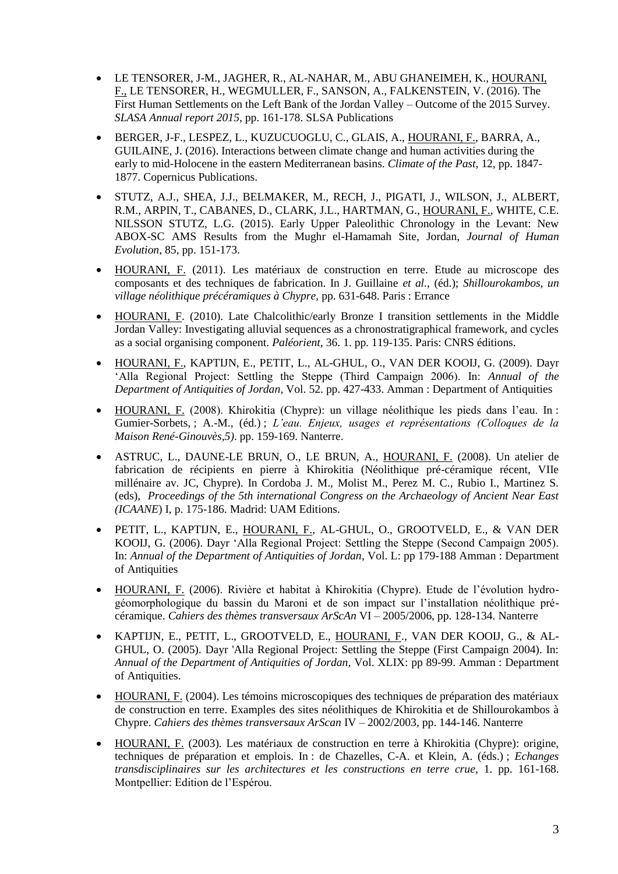- LE TENSORER, J-M., JAGHER, R., AL-NAHAR, M., ABU GHANEIMEH, K., HOURANI, F., LE TENSORER, H., WEGMULLER, F., SANSON, A., FALKENSTEIN, V. (2016). The First Human Settlements on the Left Bank of the Jordan Valley – Outcome of the 2015 Survey. *SLASA Annual report 2015*, pp. 161-178. SLSA Publications
- BERGER, J-F., LESPEZ, L., KUZUCUOGLU, C., GLAIS, A., HOURANI, F., BARRA, A., GUILAINE, J. (2016). Interactions between climate change and human activities during the early to mid-Holocene in the eastern Mediterranean basins. *Climate of the Past,* 12, pp. 1847- 1877. Copernicus Publications.
- STUTZ, A.J., SHEA, J.J., BELMAKER, M., RECH, J., PIGATI, J., WILSON, J., ALBERT, R.M., ARPIN, T., CABANES, D., CLARK, J.L., HARTMAN, G., HOURANI, F., WHITE, C.E. NILSSON STUTZ, L.G. (2015). Early Upper Paleolithic Chronology in the Levant: New ABOX-SC AMS Results from the Mughr el-Hamamah Site, Jordan, *Journal of Human Evolution*, 85, pp. 151-173.
- HOURANI, F. (2011). Les matériaux de construction en terre. Etude au microscope des composants et des techniques de fabrication. In J. Guillaine *et al.*, (éd.); *Shillourokambos, un village néolithique précéramiques à Chypre,* pp. 631-648. Paris : Errance
- HOURANI, F. (2010). Late Chalcolithic/early Bronze I transition settlements in the Middle Jordan Valley: Investigating alluvial sequences as a chronostratigraphical framework, and cycles as a social organising component. *Paléorient*, 36. 1. pp. 119-135. Paris: CNRS éditions.
- HOURANI, F., KAPTIJN, E., PETIT, L., AL-GHUL, O., VAN DER KOOIJ, G. (2009). Dayr 'Alla Regional Project: Settling the Steppe (Third Campaign 2006). In: *Annual of the Department of Antiquities of Jordan*, Vol. 52. pp. 427-433. Amman : Department of Antiquities
- HOURANI, F. (2008). Khirokitia (Chypre): un village néolithique les pieds dans l'eau. In : Gumier-Sorbets, ; A.-M., (éd.) ; *L'eau. Enjeux, usages et représentations (Colloques de la Maison René-Ginouvès,5)*. pp. 159-169. Nanterre.
- ASTRUC, L., DAUNE-LE BRUN, O., LE BRUN, A., HOURANI, F. (2008). Un atelier de fabrication de récipients en pierre à Khirokitia (Néolithique pré-céramique récent, VIIe millénaire av. JC, Chypre). In Cordoba J. M., Molist M., Perez M. C., Rubio I., Martinez S. (eds), *Proceedings of the 5th international Congress on the Archaeology of Ancient Near East (ICAANE*) I, p. 175-186. Madrid: UAM Editions.
- PETIT, L., KAPTIJN, E., HOURANI, F., AL-GHUL, O., GROOTVELD, E., & VAN DER KOOIJ, G. (2006). Dayr 'Alla Regional Project: Settling the Steppe (Second Campaign 2005). In: *Annual of the Department of Antiquities of Jordan*, Vol. L: pp 179-188 Amman : Department of Antiquities
- HOURANI, F. (2006). Rivière et habitat à Khirokitia (Chypre). Etude de l'évolution hydrogéomorphologique du bassin du Maroni et de son impact sur l'installation néolithique précéramique. *Cahiers des thèmes transversaux ArScAn* VI – 2005/2006, pp. 128-134. Nanterre
- KAPTIJN, E., PETIT, L., GROOTVELD, E., HOURANI, F., VAN DER KOOIJ, G., & AL-GHUL, O. (2005). Dayr 'Alla Regional Project: Settling the Steppe (First Campaign 2004). In: *Annual of the Department of Antiquities of Jordan,* Vol. XLIX: pp 89-99. Amman : Department of Antiquities.
- HOURANI, F. (2004). Les témoins microscopiques des techniques de préparation des matériaux de construction en terre. Examples des sites néolithiques de Khirokitia et de Shillourokambos à Chypre. *Cahiers des thèmes transversaux ArScan* IV – 2002/2003, pp. 144-146. Nanterre
- HOURANI, F. (2003). Les matériaux de construction en terre à Khirokitia (Chypre): origine, techniques de préparation et emplois. In : de Chazelles, C-A. et Klein, A. (éds.) ; *Echanges transdisciplinaires sur les architectures et les constructions en terre crue*, 1. pp. 161-168. Montpellier: Edition de l'Espérou.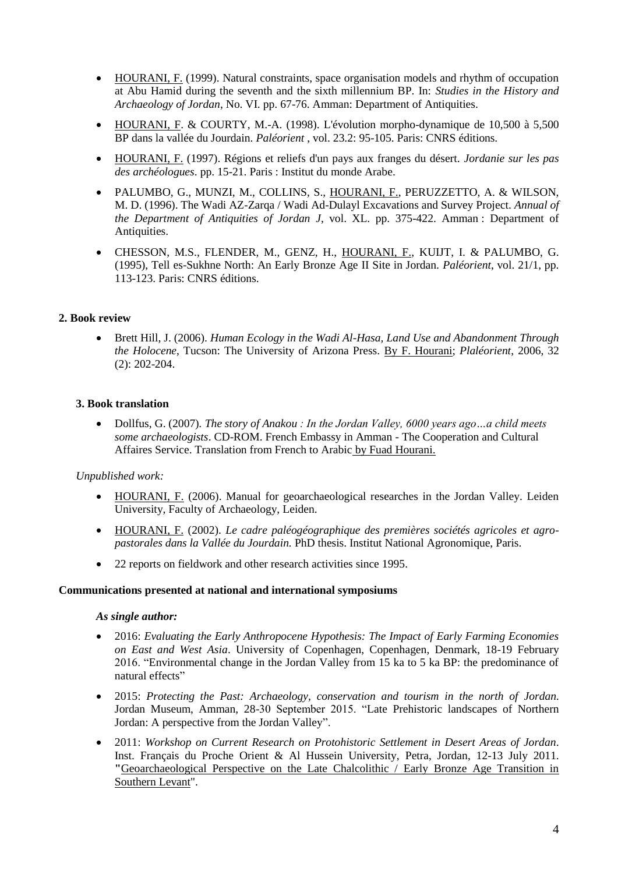- HOURANI, F. (1999). Natural constraints, space organisation models and rhythm of occupation at Abu Hamid during the seventh and the sixth millennium BP. In: *Studies in the History and Archaeology of Jordan*, No. VI. pp. 67-76. Amman: Department of Antiquities.
- $\bullet$  HOURANI, F. & COURTY, M.-A. (1998). L'évolution morpho-dynamique de 10,500 à 5,500 BP dans la vallée du Jourdain. *Paléorient* , vol. 23.2: 95-105. Paris: CNRS éditions.
- HOURANI, F. (1997). Régions et reliefs d'un pays aux franges du désert. *Jordanie sur les pas des archéologues*. pp. 15-21. Paris : Institut du monde Arabe.
- PALUMBO, G., MUNZI, M., COLLINS, S., HOURANI, F., PERUZZETTO, A. & WILSON, M. D. (1996). The Wadi AZ-Zarqa / Wadi Ad-Dulayl Excavations and Survey Project. *Annual of the Department of Antiquities of Jordan J*, vol. XL. pp. 375-422. Amman : Department of Antiquities.
- CHESSON, M.S., FLENDER, M., GENZ, H., HOURANI, F., KUIJT, I. & PALUMBO, G. (1995), Tell es-Sukhne North: An Early Bronze Age II Site in Jordan. *Paléorient*, vol. 21/1, pp. 113-123. Paris: CNRS éditions.

## **2. Book review**

 Brett Hill, J. (2006). *Human Ecology in the Wadi Al-Hasa, Land Use and Abandonment Through the Holocene*, Tucson: The University of Arizona Press. By F. Hourani; *Plaléorient*, 2006, 32 (2): 202-204.

## **3. Book translation**

 Dollfus, G. (2007)*. The story of Anakou : In the Jordan Valley, 6000 years ago…a child meets some archaeologists*. CD-ROM. French Embassy in Amman - The Cooperation and Cultural Affaires Service. Translation from French to Arabic by Fuad Hourani.

### *Unpublished work:*

- HOURANI, F. (2006). Manual for geoarchaeological researches in the Jordan Valley. Leiden University, Faculty of Archaeology, Leiden.
- HOURANI, F. (2002). *Le cadre paléogéographique des premières sociétés agricoles et agropastorales dans la Vallée du Jourdain.* PhD thesis. Institut National Agronomique, Paris.
- 22 reports on fieldwork and other research activities since 1995.

### **Communications presented at national and international symposiums**

### *As single author:*

- 2016: *Evaluating the Early Anthropocene Hypothesis: The Impact of Early Farming Economies on East and West Asia*. University of Copenhagen, Copenhagen, Denmark, 18-19 February 2016. "Environmental change in the Jordan Valley from 15 ka to 5 ka BP: the predominance of natural effects"
- 2015: *Protecting the Past: Archaeology, conservation and tourism in the north of Jordan*. Jordan Museum, Amman, 28-30 September 2015. "Late Prehistoric landscapes of Northern Jordan: A perspective from the Jordan Valley".
- 2011: *Workshop on Current Research on Protohistoric Settlement in Desert Areas of Jordan*. Inst. Français du Proche Orient & Al Hussein University, Petra, Jordan, 12-13 July 2011. **"**Geoarchaeological Perspective on the Late Chalcolithic / Early Bronze Age Transition in Southern Levant".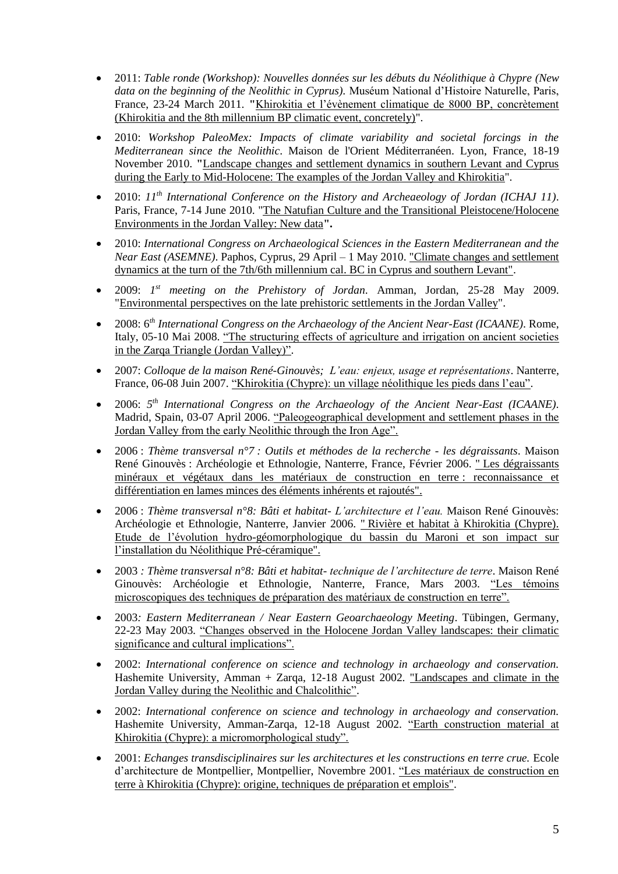- 2011: *Table ronde (Workshop): Nouvelles données sur les débuts du Néolithique à Chypre (New data on the beginning of the Neolithic in Cyprus).* Muséum National d'Histoire Naturelle, Paris, France, 23-24 March 2011. **"**Khirokitia et l'évènement climatique de 8000 BP, concrètement (Khirokitia and the 8th millennium BP climatic event, concretely)".
- 2010: *Workshop PaleoMex: Impacts of climate variability and societal forcings in the Mediterranean since the Neolithic*. Maison de l'Orient Méditerranéen. Lyon, France, 18-19 November 2010. **"**Landscape changes and settlement dynamics in southern Levant and Cyprus during the Early to Mid-Holocene: The examples of the Jordan Valley and Khirokitia".
- 2010: 11<sup>th</sup> International Conference on the History and Archeaeology of Jordan (ICHAJ 11). Paris, France, 7-14 June 2010. "The Natufian Culture and the Transitional Pleistocene/Holocene Environments in the Jordan Valley: New data**".**
- 2010: *International Congress on Archaeological Sciences in the Eastern Mediterranean and the Near East (ASEMNE)*. Paphos, Cyprus, 29 April – 1 May 2010. "Climate changes and settlement dynamics at the turn of the 7th/6th millennium cal. BC in Cyprus and southern Levant".
- 2009: *1 st meeting on the Prehistory of Jordan*. Amman, Jordan, 25-28 May 2009. "Environmental perspectives on the late prehistoric settlements in the Jordan Valley".
- 2008: 6*th International Congress on the Archaeology of the Ancient Near-East (ICAANE)*. Rome, Italy, 05-10 Mai 2008. "The structuring effects of agriculture and irrigation on ancient societies in the Zarqa Triangle (Jordan Valley)".
- 2007: *Colloque de la maison René-Ginouvès; L'eau: enjeux, usage et représentations*. Nanterre, France, 06-08 Juin 2007. "Khirokitia (Chypre): un village néolithique les pieds dans l'eau".
- 2006: 5<sup>th</sup> International Congress on the Archaeology of the Ancient Near-East (ICAANE). Madrid, Spain, 03-07 April 2006. "Paleogeographical development and settlement phases in the Jordan Valley from the early Neolithic through the Iron Age".
- 2006 : *Thème transversal n°7 : Outils et méthodes de la recherche - les dégraissants*. Maison René Ginouvès : Archéologie et Ethnologie, Nanterre, France, Février 2006. " Les dégraissants minéraux et végétaux dans les matériaux de construction en terre : reconnaissance et différentiation en lames minces des éléments inhérents et rajoutés".
- 2006 : *Thème transversal n°8: Bâti et habitat- L'architecture et l'eau.* Maison René Ginouvès: Archéologie et Ethnologie, Nanterre, Janvier 2006. " Rivière et habitat à Khirokitia (Chypre). Etude de l'évolution hydro-géomorphologique du bassin du Maroni et son impact sur l'installation du Néolithique Pré-céramique".
- 2003 *: Thème transversal n°8: Bâti et habitat- technique de l'architecture de terre*. Maison René Ginouvès: Archéologie et Ethnologie, Nanterre, France, Mars 2003. "Les témoins microscopiques des techniques de préparation des matériaux de construction en terre".
- 2003*: Eastern Mediterranean / Near Eastern Geoarchaeology Meeting*. Tübingen, Germany, 22-23 May 2003*.* "Changes observed in the Holocene Jordan Valley landscapes: their climatic significance and cultural implications".
- 2002: *International conference on science and technology in archaeology and conservation.* Hashemite University, Amman + Zarqa, 12-18 August 2002. "Landscapes and climate in the Jordan Valley during the Neolithic and Chalcolithic".
- 2002: *International conference on science and technology in archaeology and conservation.* Hashemite University, Amman-Zarqa, 12-18 August 2002. "Earth construction material at Khirokitia (Chypre): a micromorphological study".
- 2001: *Echanges transdisciplinaires sur les architectures et les constructions en terre crue.* Ecole d'architecture de Montpellier, Montpellier, Novembre 2001. "Les matériaux de construction en terre à Khirokitia (Chypre): origine, techniques de préparation et emplois".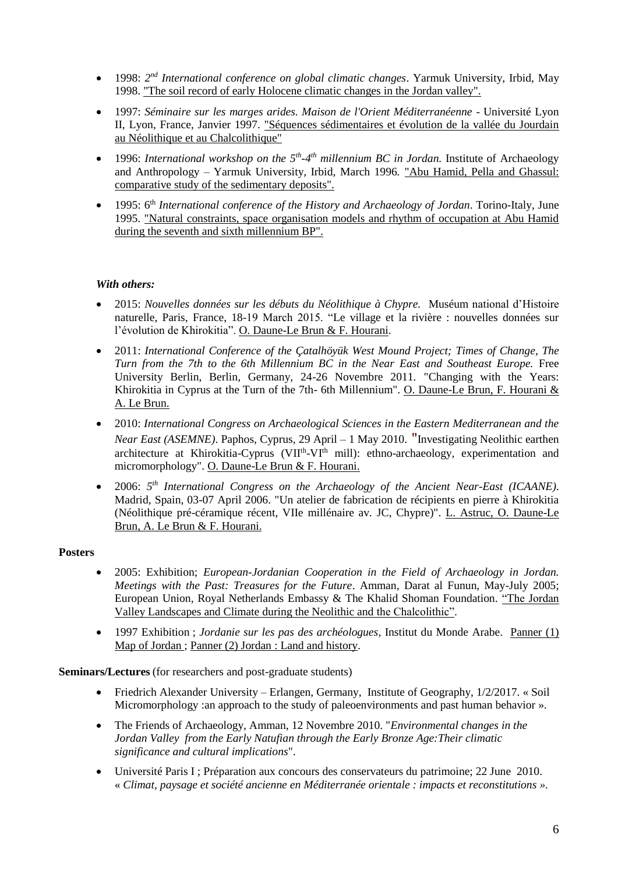- 1998: 2<sup>nd</sup> International conference on global climatic changes. Yarmuk University, Irbid, May 1998. "The soil record of early Holocene climatic changes in the Jordan valley".
- 1997: *Séminaire sur les marges arides. Maison de l'Orient Méditerranéenne* Université Lyon II, Lyon, France, Janvier 1997. "Séquences sédimentaires et évolution de la vallée du Jourdain au Néolithique et au Chalcolithique"
- 1996: *International workshop on the 5<sup>th</sup>-4<sup>th</sup> millennium BC in Jordan. Institute of Archaeology* and Anthropology – Yarmuk University, Irbid, March 1996*.* "Abu Hamid, Pella and Ghassul: comparative study of the sedimentary deposits".
- 1995: 6th *International conference of the History and Archaeology of Jordan*. Torino-Italy, June 1995. "Natural constraints, space organisation models and rhythm of occupation at Abu Hamid during the seventh and sixth millennium BP".

## *With others:*

- 2015: *Nouvelles données sur les débuts du Néolithique à Chypre.* Muséum national d'Histoire naturelle, Paris, France, 18-19 March 2015. "Le village et la rivière : nouvelles données sur l'évolution de Khirokitia". O. Daune-Le Brun & F. Hourani.
- 2011: *International Conference of the Çatalhöyük West Mound Project; Times of Change, The Turn from the 7th to the 6th Millennium BC in the Near East and Southeast Europe.* Free University Berlin, Berlin, Germany, 24-26 Novembre 2011*.* "Changing with the Years: Khirokitia in Cyprus at the Turn of the 7th- 6th Millennium". O. Daune-Le Brun, F. Hourani & A. Le Brun.
- 2010: *International Congress on Archaeological Sciences in the Eastern Mediterranean and the Near East (ASEMNE)*. Paphos, Cyprus, 29 April – 1 May 2010. "Investigating Neolithic earthen architecture at Khirokitia-Cyprus (VII<sup>th</sup>-VI<sup>th</sup> mill): ethno-archaeology, experimentation and micromorphology". O. Daune-Le Brun & F. Hourani.
- 2006: 5<sup>th</sup> International Congress on the Archaeology of the Ancient Near-East (ICAANE). Madrid, Spain, 03-07 April 2006. "Un atelier de fabrication de récipients en pierre à Khirokitia (Néolithique pré-céramique récent, VIIe millénaire av. JC, Chypre)". L. Astruc, O. Daune-Le Brun, A. Le Brun & F. Hourani.

## **Posters**

- 2005: Exhibition; *European-Jordanian Cooperation in the Field of Archaeology in Jordan. Meetings with the Past: Treasures for the Future*. Amman, Darat al Funun, May-July 2005; European Union, Royal Netherlands Embassy & The Khalid Shoman Foundation. "The Jordan Valley Landscapes and Climate during the Neolithic and the Chalcolithic".
- 1997 Exhibition ; *Jordanie sur les pas des archéologues*, Institut du Monde Arabe. Panner (1) Map of Jordan ; Panner (2) Jordan : Land and history.

**Seminars/Lectures** (for researchers and post-graduate students)

- Friedrich Alexander University Erlangen, Germany, Institute of Geography, 1/2/2017. « Soil Micromorphology :an approach to the study of paleoenvironments and past human behavior ».
- The Friends of Archaeology, Amman, 12 Novembre 2010. "*Environmental changes in the Jordan Valley from the Early Natufian through the Early Bronze Age:Their climatic significance and cultural implications*".
- Université Paris I ; Préparation aux concours des conservateurs du patrimoine; 22 June 2010. « *Climat, paysage et société ancienne en Méditerranée orientale : impacts et reconstitutions ».*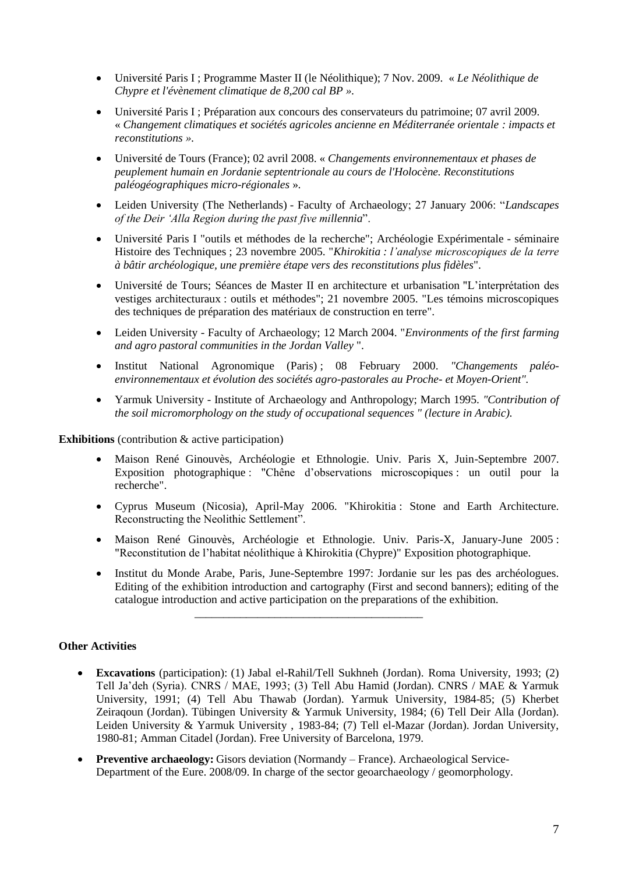- Université Paris I ; Programme Master II (le Néolithique); 7 Nov. 2009. « *Le Néolithique de Chypre et l'évènement climatique de 8,200 cal BP ».*
- Université Paris I ; Préparation aux concours des conservateurs du patrimoine; 07 avril 2009. « *Changement climatiques et sociétés agricoles ancienne en Méditerranée orientale : impacts et reconstitutions ».*
- Université de Tours (France); 02 avril 2008. « *Changements environnementaux et phases de peuplement humain en Jordanie septentrionale au cours de l'Holocène. Reconstitutions paléogéographiques micro-régionales* ».
- Leiden University (The Netherlands) Faculty of Archaeology; 27 January 2006: "*Landscapes of the Deir 'Alla Region during the past five millennia*".
- Université Paris I "outils et méthodes de la recherche"; Archéologie Expérimentale séminaire Histoire des Techniques ; 23 novembre 2005. "*Khirokitia : l'analyse microscopiques de la terre à bâtir archéologique, une première étape vers des reconstitutions plus fidèles*".
- Université de Tours; Séances de Master II en architecture et urbanisation "L'interprétation des vestiges architecturaux : outils et méthodes"; 21 novembre 2005. "Les témoins microscopiques des techniques de préparation des matériaux de construction en terre".
- Leiden University Faculty of Archaeology; 12 March 2004. "*Environments of the first farming and agro pastoral communities in the Jordan Valley* ".
- Institut National Agronomique (Paris) ; 08 February 2000. *"Changements paléoenvironnementaux et évolution des sociétés agro-pastorales au Proche- et Moyen-Orient".*
- Yarmuk University Institute of Archaeology and Anthropology; March 1995. *"Contribution of the soil micromorphology on the study of occupational sequences " (lecture in Arabic).*

**Exhibitions** (contribution & active participation)

- Maison René Ginouvès, Archéologie et Ethnologie. Univ. Paris X, Juin-Septembre 2007. Exposition photographique : "Chêne d'observations microscopiques : un outil pour la recherche".
- Cyprus Museum (Nicosia), April-May 2006. "Khirokitia : Stone and Earth Architecture. Reconstructing the Neolithic Settlement".
- Maison René Ginouvès, Archéologie et Ethnologie. Univ. Paris-X, January-June 2005 : "Reconstitution de l'habitat néolithique à Khirokitia (Chypre)" Exposition photographique.
- Institut du Monde Arabe, Paris, June-Septembre 1997: Jordanie sur les pas des archéologues. Editing of the exhibition introduction and cartography (First and second banners); editing of the catalogue introduction and active participation on the preparations of the exhibition.

\_\_\_\_\_\_\_\_\_\_\_\_\_\_\_\_\_\_\_\_\_\_\_\_\_\_\_\_\_\_\_\_\_\_\_\_\_\_\_\_

## **Other Activities**

- **Excavations** (participation): (1) Jabal el-Rahil/Tell Sukhneh (Jordan). Roma University, 1993; (2) Tell Ja'deh (Syria). CNRS / MAE, 1993; (3) Tell Abu Hamid (Jordan). CNRS / MAE & Yarmuk University, 1991; (4) Tell Abu Thawab (Jordan). Yarmuk University, 1984-85; (5) Kherbet Zeiraqoun (Jordan). Tübingen University & Yarmuk University, 1984; (6) Tell Deir Alla (Jordan). Leiden University & Yarmuk University , 1983-84; (7) Tell el-Mazar (Jordan). Jordan University, 1980-81; Amman Citadel (Jordan). Free University of Barcelona, 1979.
- **•** Preventive archaeology: Gisors deviation (Normandy France). Archaeological Service-Department of the Eure. 2008/09. In charge of the sector geoarchaeology / geomorphology.